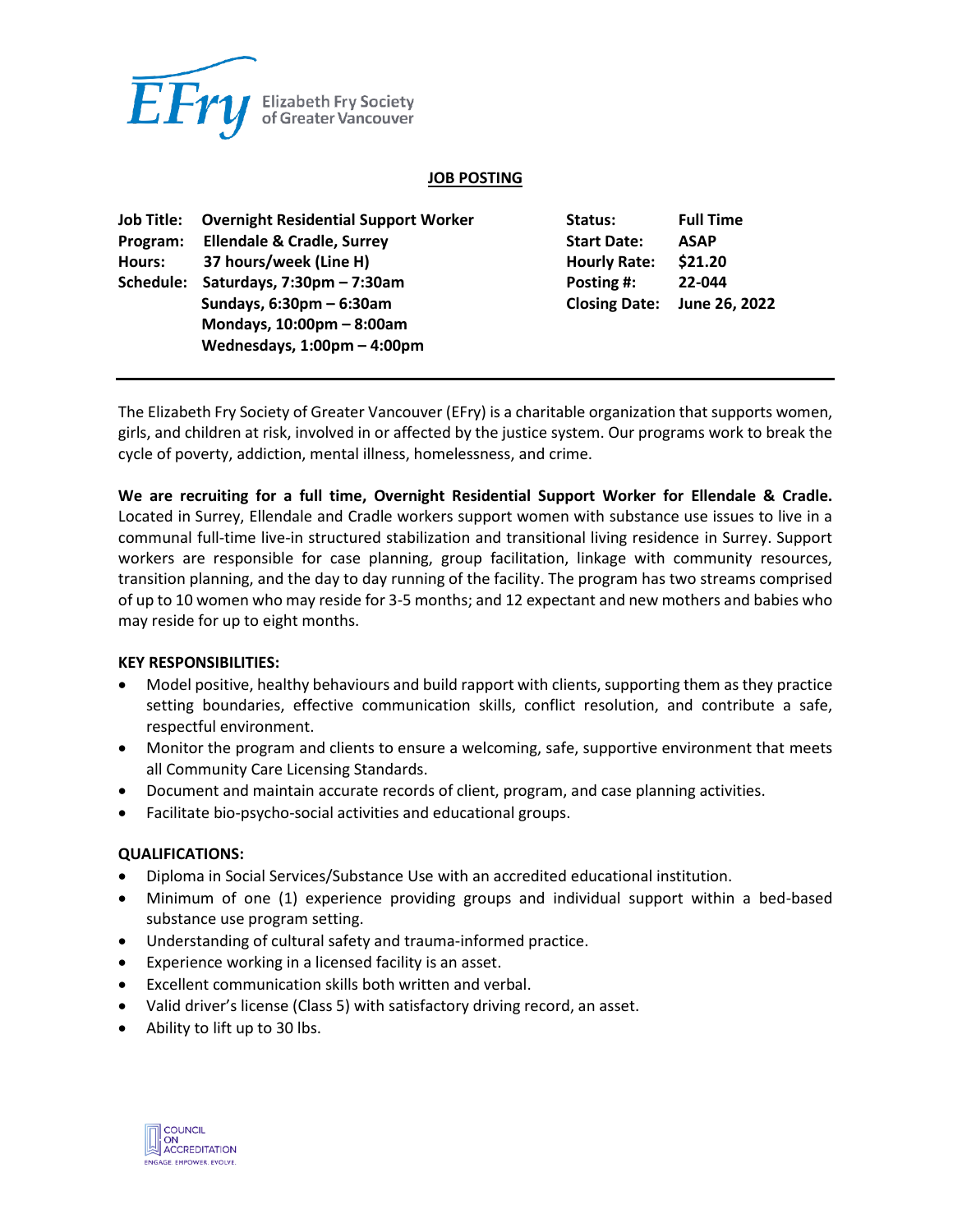

### **JOB POSTING**

| Job Title: | <b>Overnight Residential Support Worker</b>   | Status:              | <b>Full Time</b> |
|------------|-----------------------------------------------|----------------------|------------------|
| Program:   | <b>Ellendale &amp; Cradle, Surrey</b>         | <b>Start Date:</b>   | <b>ASAP</b>      |
| Hours:     | 37 hours/week (Line H)                        | <b>Hourly Rate:</b>  | \$21.20          |
| Schedule:  | Saturdays, $7:30 \text{pm} - 7:30 \text{am}$  | Posting #:           | 22-044           |
|            | Sundays, $6:30 \text{pm} - 6:30 \text{am}$    | <b>Closing Date:</b> | June 26, 2022    |
|            | Mondays, $10:00 \text{pm} - 8:00 \text{am}$   |                      |                  |
|            | Wednesdays, $1:00 \text{pm} - 4:00 \text{pm}$ |                      |                  |

The Elizabeth Fry Society of Greater Vancouver (EFry) is a charitable organization that supports women, girls, and children at risk, involved in or affected by the justice system. Our programs work to break the cycle of poverty, addiction, mental illness, homelessness, and crime.

**We are recruiting for a full time, Overnight Residential Support Worker for Ellendale & Cradle.** Located in Surrey, Ellendale and Cradle workers support women with substance use issues to live in a communal full-time live-in structured stabilization and transitional living residence in Surrey. Support workers are responsible for case planning, group facilitation, linkage with community resources, transition planning, and the day to day running of the facility. The program has two streams comprised of up to 10 women who may reside for 3-5 months; and 12 expectant and new mothers and babies who may reside for up to eight months.

#### **KEY RESPONSIBILITIES:**

- Model positive, healthy behaviours and build rapport with clients, supporting them as they practice setting boundaries, effective communication skills, conflict resolution, and contribute a safe, respectful environment.
- Monitor the program and clients to ensure a welcoming, safe, supportive environment that meets all Community Care Licensing Standards.
- Document and maintain accurate records of client, program, and case planning activities.
- Facilitate bio-psycho-social activities and educational groups.

#### **QUALIFICATIONS:**

- Diploma in Social Services/Substance Use with an accredited educational institution.
- Minimum of one (1) experience providing groups and individual support within a bed-based substance use program setting.
- Understanding of cultural safety and trauma-informed practice.
- Experience working in a licensed facility is an asset.
- Excellent communication skills both written and verbal.
- Valid driver's license (Class 5) with satisfactory driving record, an asset.
- Ability to lift up to 30 lbs.